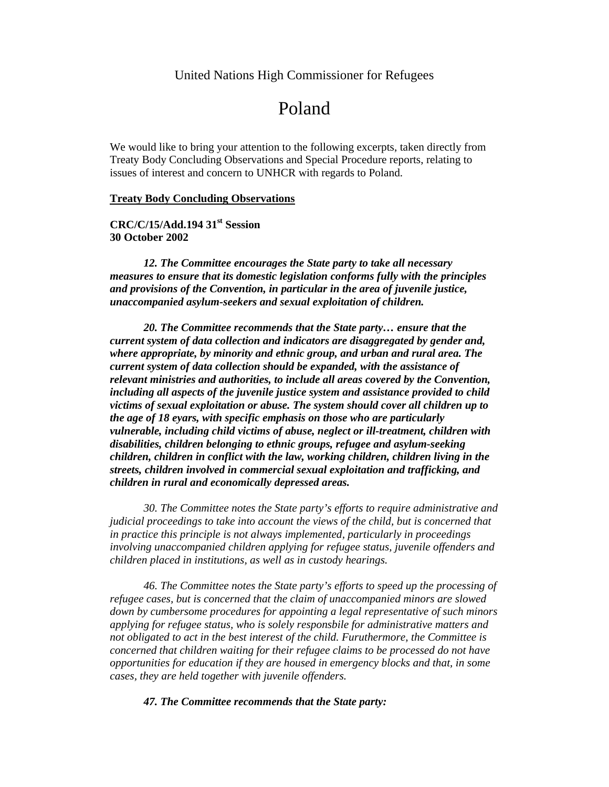## United Nations High Commissioner for Refugees

# Poland

We would like to bring your attention to the following excerpts, taken directly from Treaty Body Concluding Observations and Special Procedure reports, relating to issues of interest and concern to UNHCR with regards to Poland.

### **Treaty Body Concluding Observations**

## **CRC/C/15/Add.194 31st Session 30 October 2002**

*12. The Committee encourages the State party to take all necessary measures to ensure that its domestic legislation conforms fully with the principles and provisions of the Convention, in particular in the area of juvenile justice, unaccompanied asylum-seekers and sexual exploitation of children.*

*20. The Committee recommends that the State party… ensure that the current system of data collection and indicators are disaggregated by gender and, where appropriate, by minority and ethnic group, and urban and rural area. The current system of data collection should be expanded, with the assistance of relevant ministries and authorities, to include all areas covered by the Convention, including all aspects of the juvenile justice system and assistance provided to child victims of sexual exploitation or abuse. The system should cover all children up to the age of 18 eyars, with specific emphasis on those who are particularly vulnerable, including child victims of abuse, neglect or ill-treatment, children with disabilities, children belonging to ethnic groups, refugee and asylum-seeking children, children in conflict with the law, working children, children living in the streets, children involved in commercial sexual exploitation and trafficking, and children in rural and economically depressed areas.*

*30. The Committee notes the State party's efforts to require administrative and judicial proceedings to take into account the views of the child, but is concerned that in practice this principle is not always implemented, particularly in proceedings involving unaccompanied children applying for refugee status, juvenile offenders and children placed in institutions, as well as in custody hearings.* 

*46. The Committee notes the State party's efforts to speed up the processing of refugee cases, but is concerned that the claim of unaccompanied minors are slowed down by cumbersome procedures for appointing a legal representative of such minors applying for refugee status, who is solely responsbile for administrative matters and not obligated to act in the best interest of the child. Furuthermore, the Committee is concerned that children waiting for their refugee claims to be processed do not have opportunities for education if they are housed in emergency blocks and that, in some cases, they are held together with juvenile offenders.* 

#### *47. The Committee recommends that the State party:*